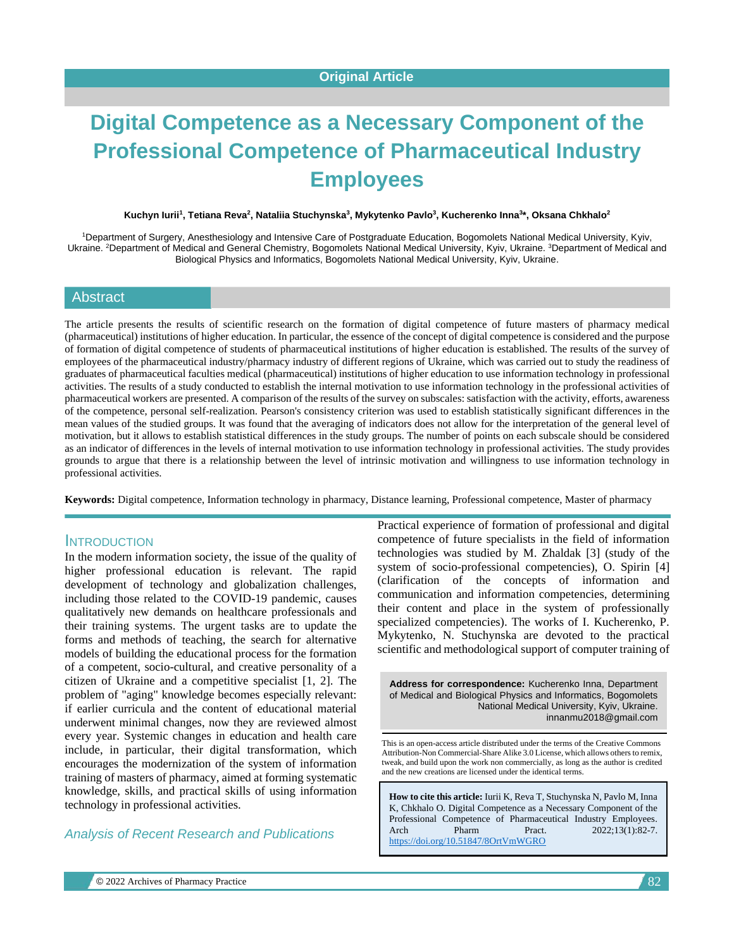# **Digital Competence as a Necessary Component of the Professional Competence of Pharmaceutical Industry Employees**

#### **Kuchyn Iurii<sup>1</sup> , Tetiana Reva<sup>2</sup> , Nataliia Stuchynska<sup>3</sup> , Mykytenko Pavlo<sup>3</sup> , Kucherenko Inna<sup>3</sup> \*, Oksana Chkhalo<sup>2</sup>**

<sup>1</sup>Department of Surgery, Anesthesiology and Intensive Care of Postgraduate Education, Bogomolets National Medical University, Kyiv, Ukraine. <sup>2</sup>Department of Medical and General Chemistry, Bogomolets National Medical University, Kyiv, Ukraine. <sup>3</sup>Department of Medical and Biological Physics and Informatics, Bogomolets National Medical University, Kyiv, Ukraine.

# Abstract

The article presents the results of scientific research on the formation of digital competence of future masters of pharmacy medical (pharmaceutical) institutions of higher education. In particular, the essence of the concept of digital competence is considered and the purpose of formation of digital competence of students of pharmaceutical institutions of higher education is established. The results of the survey of employees of the pharmaceutical industry/pharmacy industry of different regions of Ukraine, which was carried out to study the readiness of graduates of pharmaceutical faculties medical (pharmaceutical) institutions of higher education to use information technology in professional activities. The results of a study conducted to establish the internal motivation to use information technology in the professional activities of pharmaceutical workers are presented. A comparison of the results of the survey on subscales: satisfaction with the activity, efforts, awareness of the competence, personal self-realization. Pearson's consistency criterion was used to establish statistically significant differences in the mean values of the studied groups. It was found that the averaging of indicators does not allow for the interpretation of the general level of motivation, but it allows to establish statistical differences in the study groups. The number of points on each subscale should be considered as an indicator of differences in the levels of internal motivation to use information technology in professional activities. The study provides grounds to argue that there is a relationship between the level of intrinsic motivation and willingness to use information technology in professional activities.

**Keywords:** Digital competence, Information technology in pharmacy, Distance learning, Professional competence, Master of pharmacy

#### **INTRODUCTION**

In the modern information society, the issue of the quality of higher professional education is relevant. The rapid development of technology and globalization challenges, including those related to the COVID-19 pandemic, causes qualitatively new demands on healthcare professionals and their training systems. The urgent tasks are to update the forms and methods of teaching, the search for alternative models of building the educational process for the formation of a competent, socio-cultural, and creative personality of a citizen of Ukraine and a competitive specialist [1, 2]. The problem of "aging" knowledge becomes especially relevant: if earlier curricula and the content of educational material underwent minimal changes, now they are reviewed almost every year. Systemic changes in education and health care include, in particular, their digital transformation, which encourages the modernization of the system of information training of masters of pharmacy, aimed at forming systematic knowledge, skills, and practical skills of using information technology in professional activities.

*Analysis of Recent Research and Publications*

Practical experience of formation of professional and digital competence of future specialists in the field of information technologies was studied by M. Zhaldak [\[3\]](https://translate.googleusercontent.com/translate_f#_Ref69912832) (study of the system of socio-professional competencies), O. Spirin [\[4\]](https://translate.googleusercontent.com/translate_f#_Ref72259197) (clarification of the concepts of information and communication and information competencies, determining their content and place in the system of professionally specialized competencies). The works of I. Kucherenko, P. Mykytenko, N. Stuchynska are devoted to the practical scientific and methodological support of computer training of

**Address for correspondence:** Kucherenko Inna, Department of Medical and Biological Physics and Informatics, Bogomolets National Medical University, Kyiv, Ukraine. innanmu2018@gmail.com

This is an open-access article distributed under the terms of the Creative Commons Attribution-Non Commercial-Share Alike 3.0 License, which allows others to remix, tweak, and build upon the work non commercially, as long as the author is credited and the new creations are licensed under the identical terms.

**How to cite this article:** Iurii K, Reva T, Stuchynska N, Pavlo M, Inna K, Chkhalo O*.* Digital Competence as a Necessary Component of the Professional Competence of Pharmaceutical Industry Employees. Arch Pharm Pract. 2022;13(1):82-7. <https://doi.org/10.51847/8OrtVmWGRO>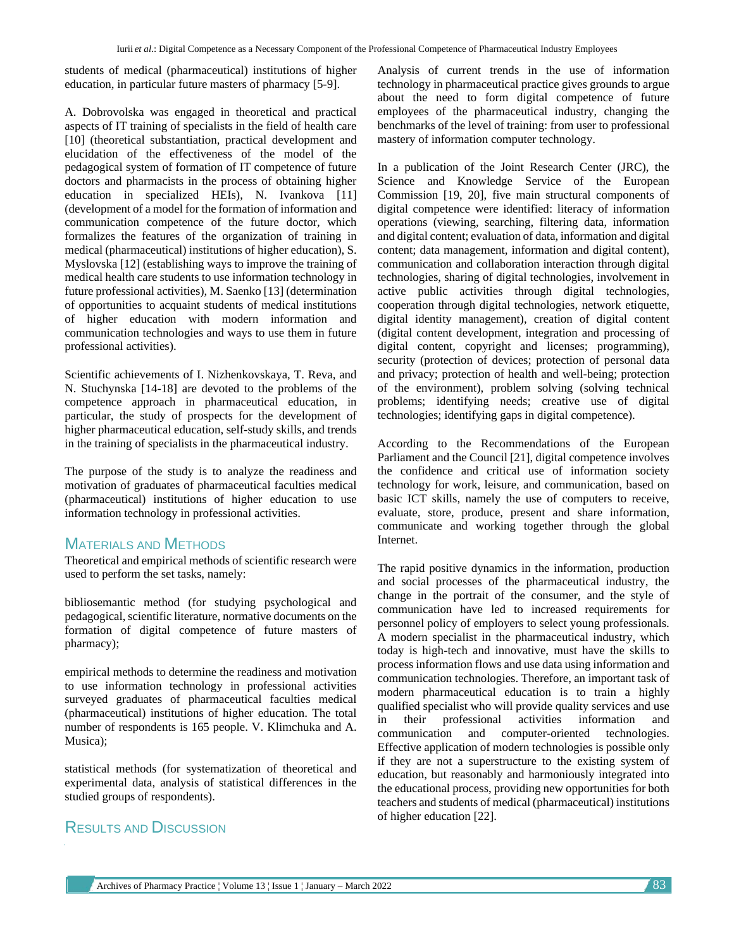students of medical (pharmaceutical) institutions of higher education, in particular future masters of pharmacy [\[5-](https://translate.googleusercontent.com/translate_f#_Ref72261423)[9\]](https://translate.googleusercontent.com/translate_f#_Ref89547295).

A. Dobrovolska was engaged in theoretical and practical aspects of IT training of specialists in the field of health care [\[10\]](https://translate.googleusercontent.com/translate_f#_Ref69910738) (theoretical substantiation, practical development and elucidation of the effectiveness of the model of the pedagogical system of formation of IT competence of future doctors and pharmacists in the process of obtaining higher education in specialized HEIs), N. Ivankova [\[11\]](https://translate.googleusercontent.com/translate_f#_Ref69989753) (development of a model for the formation of information and communication competence of the future doctor, which formalizes the features of the organization of training in medical (pharmaceutical) institutions of higher education), S. Myslovska [\[12\]](https://translate.googleusercontent.com/translate_f#_Ref69999077) (establishing ways to improve the training of medical health care students to use information technology in future professional activities), M. Saenko [\[13\]](https://translate.googleusercontent.com/translate_f#_Ref69996564) (determination of opportunities to acquaint students of medical institutions of higher education with modern information and communication technologies and ways to use them in future professional activities).

Scientific achievements of I. Nizhenkovskaya, T. Reva, and N. Stuchynska [\[14](https://translate.googleusercontent.com/translate_f#_Ref72259494)[-18\]](https://translate.googleusercontent.com/translate_f#_Ref89547155) are devoted to the problems of the competence approach in pharmaceutical education, in particular, the study of prospects for the development of higher pharmaceutical education, self-study skills, and trends in the training of specialists in the pharmaceutical industry.

The purpose of the study is to analyze the readiness and motivation of graduates of pharmaceutical faculties medical (pharmaceutical) institutions of higher education to use information technology in professional activities.

# MATERIALS AND METHODS

Theoretical and empirical methods of scientific research were used to perform the set tasks, namely:

bibliosemantic method (for studying psychological and pedagogical, scientific literature, normative documents on the formation of digital competence of future masters of pharmacy);

empirical methods to determine the readiness and motivation to use information technology in professional activities surveyed graduates of pharmaceutical faculties medical (pharmaceutical) institutions of higher education. The total number of respondents is 165 people. V. Klimchuka and A. Musica);

statistical methods (for systematization of theoretical and experimental data, analysis of statistical differences in the studied groups of respondents).

# RESULTS AND DISCUSSION

Analysis of current trends in the use of information technology in pharmaceutical practice gives grounds to argue about the need to form digital competence of future employees of the pharmaceutical industry, changing the benchmarks of the level of training: from user to professional mastery of information computer technology.

In a publication of the Joint Research Center (JRC), the Science and Knowledge Service of the European Commission [\[19,](https://translate.googleusercontent.com/translate_f#_Ref85460597) 20], five main structural components of digital competence were identified: literacy of information operations (viewing, searching, filtering data, information and digital content; evaluation of data, information and digital content; data management, information and digital content), communication and collaboration interaction through digital technologies, sharing of digital technologies, involvement in active public activities through digital technologies, cooperation through digital technologies, network etiquette, digital identity management), creation of digital content (digital content development, integration and processing of digital content, copyright and licenses; programming), security (protection of devices; protection of personal data and privacy; protection of health and well-being; protection of the environment), problem solving (solving technical problems; identifying needs; creative use of digital technologies; identifying gaps in digital competence).

According to the Recommendations of the European Parliament and the Council [\[21\]](https://translate.googleusercontent.com/translate_f#_Ref535237066), digital competence involves the confidence and critical use of information society technology for work, leisure, and communication, based on basic ICT skills, namely the use of computers to receive, evaluate, store, produce, present and share information, communicate and working together through the global Internet.

The rapid positive dynamics in the information, production and social processes of the pharmaceutical industry, the change in the portrait of the consumer, and the style of communication have led to increased requirements for personnel policy of employers to select young professionals. A modern specialist in the pharmaceutical industry, which today is high-tech and innovative, must have the skills to process information flows and use data using information and communication technologies. Therefore, an important task of modern pharmaceutical education is to train a highly qualified specialist who will provide quality services and use in their professional activities information and communication and computer-oriented technologies. Effective application of modern technologies is possible only if they are not a superstructure to the existing system of education, but reasonably and harmoniously integrated into the educational process, providing new opportunities for both teachers and students of medical (pharmaceutical) institutions of higher education [22].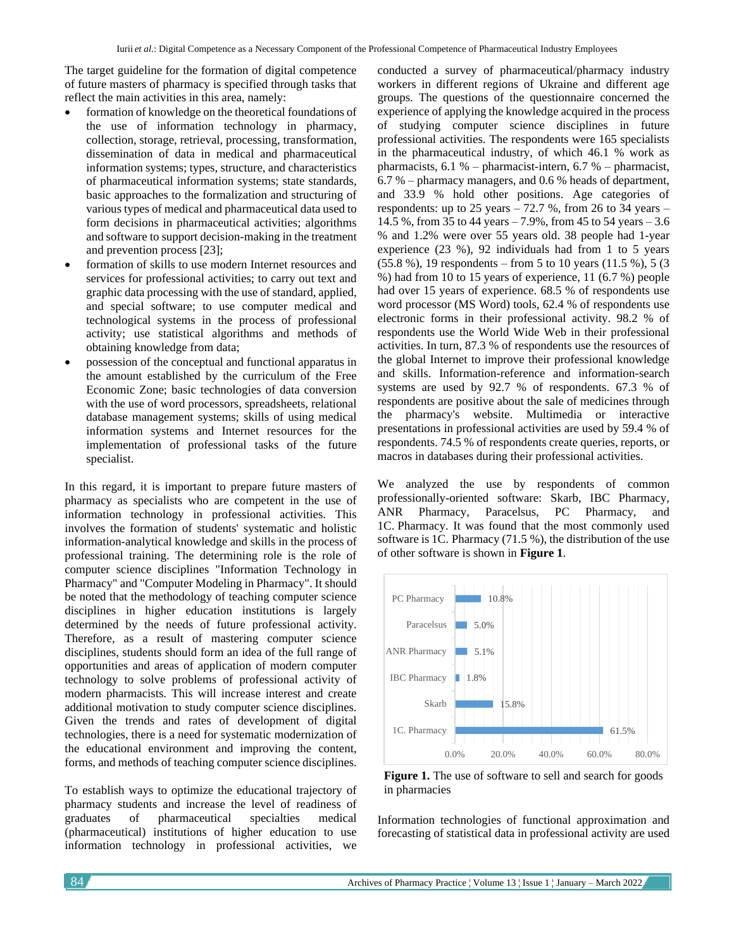The target guideline for the formation of digital competence of future masters of pharmacy is specified through tasks that reflect the main activities in this area, namely:

- formation of knowledge on the theoretical foundations of the use of information technology in pharmacy, collection, storage, retrieval, processing, transformation, dissemination of data in medical and pharmaceutical information systems; types, structure, and characteristics of pharmaceutical information systems; state standards, basic approaches to the formalization and structuring of various types of medical and pharmaceutical data used to form decisions in pharmaceutical activities; algorithms and software to support decision-making in the treatment and prevention process [\[23\]](https://translate.googleusercontent.com/translate_f#_Ref89279032);
- formation of skills to use modern Internet resources and services for professional activities; to carry out text and graphic data processing with the use of standard, applied, and special software; to use computer medical and technological systems in the process of professional activity; use statistical algorithms and methods of obtaining knowledge from data;
- possession of the conceptual and functional apparatus in the amount established by the curriculum of the Free Economic Zone; basic technologies of data conversion with the use of word processors, spreadsheets, relational database management systems; skills of using medical information systems and Internet resources for the implementation of professional tasks of the future specialist.

In this regard, it is important to prepare future masters of pharmacy as specialists who are competent in the use of information technology in professional activities. This involves the formation of students' systematic and holistic information-analytical knowledge and skills in the process of professional training. The determining role is the role of computer science disciplines "Information Technology in Pharmacy" and "Computer Modeling in Pharmacy". It should be noted that the methodology of teaching computer science disciplines in higher education institutions is largely determined by the needs of future professional activity. Therefore, as a result of mastering computer science disciplines, students should form an idea of the full range of opportunities and areas of application of modern computer technology to solve problems of professional activity of modern pharmacists. This will increase interest and create additional motivation to study computer science disciplines. Given the trends and rates of development of digital technologies, there is a need for systematic modernization of the educational environment and improving the content, forms, and methods of teaching computer science disciplines.

To establish ways to optimize the educational trajectory of pharmacy students and increase the level of readiness of graduates of pharmaceutical specialties medical (pharmaceutical) institutions of higher education to use information technology in professional activities, we

conducted a survey of pharmaceutical/pharmacy industry workers in different regions of Ukraine and different age groups. The questions of the questionnaire concerned the experience of applying the knowledge acquired in the process of studying computer science disciplines in future professional activities. The respondents were 165 specialists in the pharmaceutical industry, of which 46.1 % work as pharmacists, 6.1 % – pharmacist-intern, 6.7 % – pharmacist, 6.7 % – pharmacy managers, and 0.6 % heads of department, and 33.9 % hold other positions. Age categories of respondents: up to  $25$  years  $-72.7$  %, from 26 to 34 years  $-$ 14.5 %, from 35 to 44 years – 7.9%, from 45 to 54 years – 3.6 % and 1.2% were over 55 years old. 38 people had 1-year experience (23 %), 92 individuals had from 1 to 5 years (55.8 %), 19 respondents – from 5 to 10 years (11.5 %), 5 (3 %) had from 10 to 15 years of experience, 11 (6.7 %) people had over 15 years of experience. 68.5 % of respondents use word processor (MS Word) tools, 62.4 % of respondents use electronic forms in their professional activity. 98.2 % of respondents use the World Wide Web in their professional activities. In turn, 87.3 % of respondents use the resources of the global Internet to improve their professional knowledge and skills. Information-reference and information-search systems are used by 92.7 % of respondents. 67.3 % of respondents are positive about the sale of medicines through the pharmacy's website. Multimedia or interactive presentations in professional activities are used by 59.4 % of respondents. 74.5 % of respondents create queries, reports, or macros in databases during their professional activities.

We analyzed the use by respondents of common professionally-oriented software: Skarb, IBC Pharmacy, ANR Pharmacy, Paracelsus, PC Pharmacy, and 1C. Pharmacy. It was found that the most commonly used software is 1C. Pharmacy (71.5 %), the distribution of the use of other software is shown in **Figure 1**.



Figure 1. The use of software to sell and search for goods in pharmacies

Information technologies of functional approximation and forecasting of statistical data in professional activity are used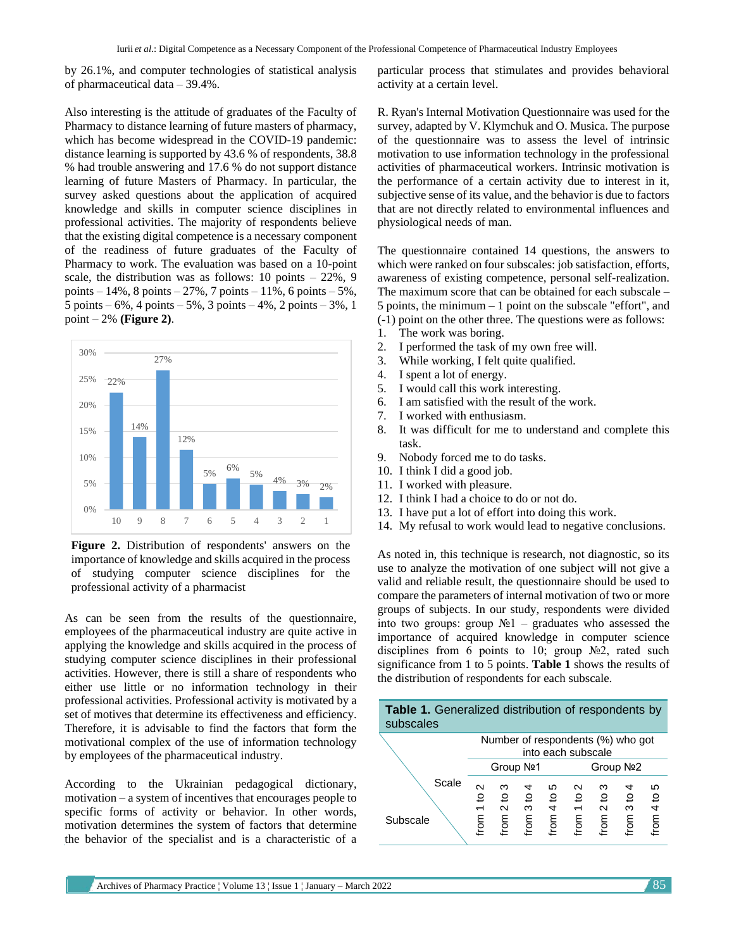by 26.1%, and computer technologies of statistical analysis of pharmaceutical data – 39.4%.

Also interesting is the attitude of graduates of the Faculty of Pharmacy to distance learning of future masters of pharmacy, which has become widespread in the COVID-19 pandemic: distance learning is supported by 43.6 % of respondents, 38.8 % had trouble answering and 17.6 % do not support distance learning of future Masters of Pharmacy. In particular, the survey asked questions about the application of acquired knowledge and skills in computer science disciplines in professional activities. The majority of respondents believe that the existing digital competence is a necessary component of the readiness of future graduates of the Faculty of Pharmacy to work. The evaluation was based on a 10-point scale, the distribution was as follows:  $10 \text{ points} - 22\%$ , 9 points –  $14\%$ , 8 points –  $27\%$ , 7 points –  $11\%$ , 6 points –  $5\%$ ,  $5 \text{ points} -6\%, 4 \text{ points} -5\%, 3 \text{ points} -4\%, 2 \text{ points} -3\%, 1$ point – 2% **(Figure 2)**.



**Figure 2.** Distribution of respondents' answers on the importance of knowledge and skills acquired in the process of studying computer science disciplines for the professional activity of a pharmacist

As can be seen from the results of the questionnaire, employees of the pharmaceutical industry are quite active in applying the knowledge and skills acquired in the process of studying computer science disciplines in their professional activities. However, there is still a share of respondents who either use little or no information technology in their professional activities. Professional activity is motivated by a set of motives that determine its effectiveness and efficiency. Therefore, it is advisable to find the factors that form the motivational complex of the use of information technology by employees of the pharmaceutical industry.

According to the Ukrainian pedagogical dictionary, motivation – a system of incentives that encourages people to specific forms of activity or behavior. In other words, motivation determines the system of factors that determine the behavior of the specialist and is a characteristic of a particular process that stimulates and provides behavioral activity at a certain level.

R. Ryan's Internal Motivation Questionnaire was used for the survey, adapted by V. Klymchuk and O. Musica. The purpose of the questionnaire was to assess the level of intrinsic motivation to use information technology in the professional activities of pharmaceutical workers. Intrinsic motivation is the performance of a certain activity due to interest in it, subjective sense of its value, and the behavior is due to factors that are not directly related to environmental influences and physiological needs of man.

The questionnaire contained 14 questions, the answers to which were ranked on four subscales: job satisfaction, efforts, awareness of existing competence, personal self-realization. The maximum score that can be obtained for each subscale – 5 points, the minimum – 1 point on the subscale "effort", and (-1) point on the other three. The questions were as follows:

- 1. The work was boring.
- 2. I performed the task of my own free will.
- 3. While working, I felt quite qualified.
- 4. I spent a lot of energy.
- 5. I would call this work interesting.
- 6. I am satisfied with the result of the work.
- 7. I worked with enthusiasm.
- 8. It was difficult for me to understand and complete this task.
- 9. Nobody forced me to do tasks.
- 10. I think I did a good job.
- 11. I worked with pleasure.
- 12. I think I had a choice to do or not do.
- 13. I have put a lot of effort into doing this work.
- 14. My refusal to work would lead to negative conclusions.

As noted in, this technique is research, not diagnostic, so its use to analyze the motivation of one subject will not give a valid and reliable result, the questionnaire should be used to compare the parameters of internal motivation of two or more groups of subjects. In our study, respondents were divided into two groups: group  $N_2$ 1 – graduates who assessed the importance of acquired knowledge in computer science disciplines from 6 points to 10; group №2, rated such significance from 1 to 5 points. **Table 1** shows the results of the distribution of respondents for each subscale.

| Table 1. Generalized distribution of respondents by<br>subscales |                                                         |                            |                        |                                 |                    |                           |              |                        |  |  |  |  |
|------------------------------------------------------------------|---------------------------------------------------------|----------------------------|------------------------|---------------------------------|--------------------|---------------------------|--------------|------------------------|--|--|--|--|
|                                                                  | Number of respondents (%) who got<br>into each subscale |                            |                        |                                 |                    |                           |              |                        |  |  |  |  |
|                                                                  | Group Nº1                                               |                            |                        |                                 | Group Nº2          |                           |              |                        |  |  |  |  |
| Scale<br>Subscale                                                | $\mathbf{\sim}$<br>₽<br>trom                            | ო<br>유<br>$\sim$<br>E<br>و | 4<br>유<br>ო<br>ro<br>و | ഗ<br>유<br>$\overline{a}$<br>mou | $\sim$<br>္၀<br>mo | ო<br>္၀<br>$\sim$<br>mo.i | 요<br>ო<br>mo | ഥ<br><u>ุ ၁</u><br>141 |  |  |  |  |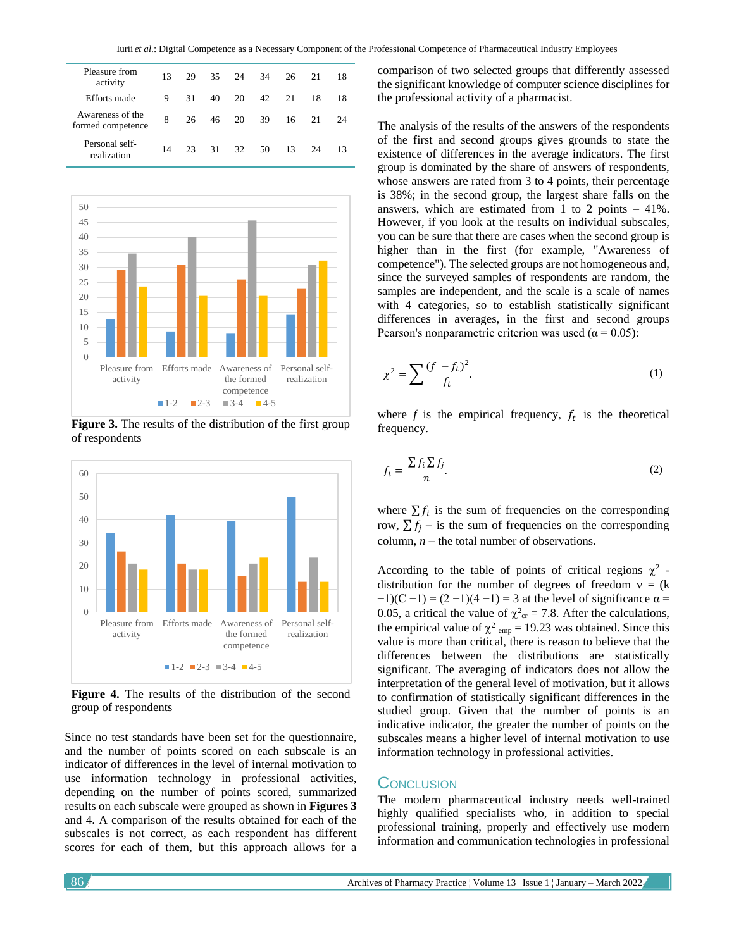| Pleasure from<br>activity             | 13 | 29 | 35 | 24 | 34 | 26 | 21 | 18 |
|---------------------------------------|----|----|----|----|----|----|----|----|
| Efforts made                          | 9  | 31 | 40 | 20 | 42 | 21 | 18 | 18 |
| Awareness of the<br>formed competence | 8  | 26 | 46 | 20 | 39 | 16 | 21 | 24 |
| Personal self-<br>realization         | 14 | 23 | 31 | 32 | 50 | 13 | 24 | 13 |



**Figure 3.** The results of the distribution of the first group of respondents



**Figure 4.** The results of the distribution of the second group of respondents

Since no test standards have been set for the questionnaire, and the number of points scored on each subscale is an indicator of differences in the level of internal motivation to use information technology in professional activities, depending on the number of points scored, summarized results on each subscale were grouped as shown in **Figures 3** and 4. A comparison of the results obtained for each of the subscales is not correct, as each respondent has different scores for each of them, but this approach allows for a

comparison of two selected groups that differently assessed the significant knowledge of computer science disciplines for the professional activity of a pharmacist.

The analysis of the results of the answers of the respondents of the first and second groups gives grounds to state the existence of differences in the average indicators. The first group is dominated by the share of answers of respondents, whose answers are rated from 3 to 4 points, their percentage is 38%; in the second group, the largest share falls on the answers, which are estimated from 1 to 2 points  $-41\%$ . However, if you look at the results on individual subscales, you can be sure that there are cases when the second group is higher than in the first (for example, "Awareness of competence"). The selected groups are not homogeneous and, since the surveyed samples of respondents are random, the samples are independent, and the scale is a scale of names with 4 categories, so to establish statistically significant differences in averages, in the first and second groups Pearson's nonparametric criterion was used ( $\alpha$  = 0.05):

$$
\chi^2 = \sum \frac{(f - f_t)^2}{f_t}.\tag{1}
$$

where  $f$  is the empirical frequency,  $f_t$  is the theoretical frequency.

$$
f_t = \frac{\sum f_i \sum f_j}{n}.
$$
 (2)

where  $\sum f_i$  is the sum of frequencies on the corresponding row,  $\sum f_i$  – is the sum of frequencies on the corresponding column, *n* − the total number of observations.

According to the table of points of critical regions  $\chi^2$  distribution for the number of degrees of freedom  $v = (k$  $-1$ )(C  $-1$ ) = (2  $-1$ )(4  $-1$ ) = 3 at the level of significance  $\alpha$  = 0.05, a critical the value of  $\chi^2_{\text{cr}} = 7.8$ . After the calculations, the empirical value of  $\chi^2$ <sub>emp</sub> = 19.23 was obtained. Since this value is more than critical, there is reason to believe that the differences between the distributions are statistically significant. The averaging of indicators does not allow the interpretation of the general level of motivation, but it allows to confirmation of statistically significant differences in the studied group. Given that the number of points is an indicative indicator, the greater the number of points on the subscales means a higher level of internal motivation to use information technology in professional activities.

# **CONCLUSION**

The modern pharmaceutical industry needs well-trained highly qualified specialists who, in addition to special professional training, properly and effectively use modern information and communication technologies in professional